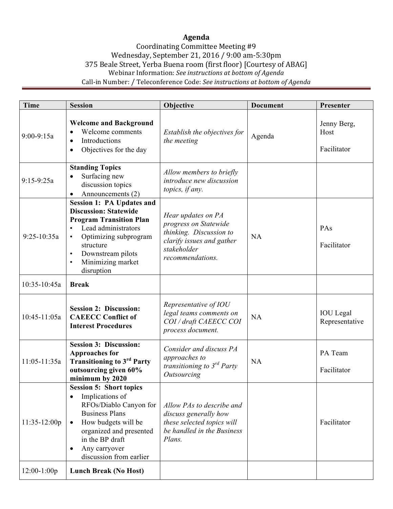## **Agenda**

## Coordinating Committee Meeting #9 Wednesday, September 21, 2016 / 9:00 am-5:30pm 375 Beale Street, Yerba Buena room (first floor) [Courtesy of ABAG] Webinar Information: See instructions at bottom of Agenda Call-in Number: / Teleconference Code: See instructions at bottom of Agenda

| <b>Time</b>    | <b>Session</b>                                                                                                                                                                                                                                                 | Objective                                                                                                                              | <b>Document</b> | Presenter                          |
|----------------|----------------------------------------------------------------------------------------------------------------------------------------------------------------------------------------------------------------------------------------------------------------|----------------------------------------------------------------------------------------------------------------------------------------|-----------------|------------------------------------|
| $9:00 - 9:15a$ | <b>Welcome and Background</b><br>Welcome comments<br>Introductions<br>Objectives for the day<br>$\bullet$                                                                                                                                                      | Establish the objectives for<br>the meeting                                                                                            | Agenda          | Jenny Berg,<br>Host<br>Facilitator |
| $9:15 - 9:25a$ | <b>Standing Topics</b><br>Surfacing new<br>discussion topics<br>Announcements (2)<br>$\bullet$                                                                                                                                                                 | Allow members to briefly<br>introduce new discussion<br>topics, if any.                                                                |                 |                                    |
| $9:25-10:35a$  | <b>Session 1: PA Updates and</b><br><b>Discussion: Statewide</b><br><b>Program Transition Plan</b><br>Lead administrators<br>Optimizing subprogram<br>$\bullet$<br>structure<br>Downstream pilots<br>$\bullet$<br>Minimizing market<br>$\bullet$<br>disruption | Hear updates on PA<br>progress on Statewide<br>thinking. Discussion to<br>clarify issues and gather<br>stakeholder<br>recommendations. | NA              | PAs<br>Facilitator                 |
| 10:35-10:45a   | <b>Break</b>                                                                                                                                                                                                                                                   |                                                                                                                                        |                 |                                    |
| 10:45-11:05a   | <b>Session 2: Discussion:</b><br><b>CAEECC Conflict of</b><br><b>Interest Procedures</b>                                                                                                                                                                       | Representative of IOU<br>legal teams comments on<br>COI / draft CAEECC COI<br>process document.                                        | <b>NA</b>       | <b>IOU</b> Legal<br>Representative |
| 11:05-11:35a   | <b>Session 3: Discussion:</b><br><b>Approaches for</b><br><b>Transitioning to 3rd Party</b><br>outsourcing given 60%<br>minimum by 2020                                                                                                                        | Consider and discuss PA<br>approaches to<br>transitioning to $3^{rd}$ Party<br>Outsourcing                                             | NA              | PA Team<br>Facilitator             |
| 11:35-12:00p   | <b>Session 5: Short topics</b><br>Implications of<br>$\bullet$<br>RFOs/Diablo Canyon for<br><b>Business Plans</b><br>How budgets will be<br>organized and presented<br>in the BP draft<br>Any carryover<br>discussion from earlier                             | Allow PAs to describe and<br>discuss generally how<br>these selected topics will<br>be handled in the Business<br>Plans.               |                 | Facilitator                        |
| $12:00-1:00p$  | <b>Lunch Break (No Host)</b>                                                                                                                                                                                                                                   |                                                                                                                                        |                 |                                    |